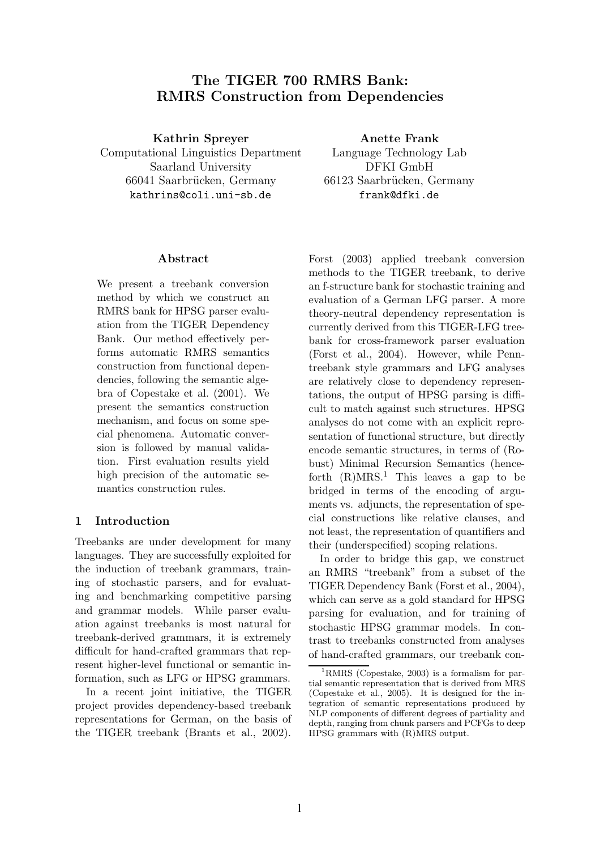# The TIGER 700 RMRS Bank: RMRS Construction from Dependencies

Kathrin Spreyer

Computational Linguistics Department Saarland University 66041 Saarbrücken, Germany kathrins@coli.uni-sb.de

Anette Frank

Language Technology Lab DFKI GmbH 66123 Saarbrücken, Germany frank@dfki.de

## Abstract

We present a treebank conversion method by which we construct an RMRS bank for HPSG parser evaluation from the TIGER Dependency Bank. Our method effectively performs automatic RMRS semantics construction from functional dependencies, following the semantic algebra of Copestake et al. (2001). We present the semantics construction mechanism, and focus on some special phenomena. Automatic conversion is followed by manual validation. First evaluation results yield high precision of the automatic semantics construction rules.

## 1 Introduction

Treebanks are under development for many languages. They are successfully exploited for the induction of treebank grammars, training of stochastic parsers, and for evaluating and benchmarking competitive parsing and grammar models. While parser evaluation against treebanks is most natural for treebank-derived grammars, it is extremely difficult for hand-crafted grammars that represent higher-level functional or semantic information, such as LFG or HPSG grammars.

In a recent joint initiative, the TIGER project provides dependency-based treebank representations for German, on the basis of the TIGER treebank (Brants et al., 2002).

Forst (2003) applied treebank conversion methods to the TIGER treebank, to derive an f-structure bank for stochastic training and evaluation of a German LFG parser. A more theory-neutral dependency representation is currently derived from this TIGER-LFG treebank for cross-framework parser evaluation (Forst et al., 2004). However, while Penntreebank style grammars and LFG analyses are relatively close to dependency representations, the output of HPSG parsing is difficult to match against such structures. HPSG analyses do not come with an explicit representation of functional structure, but directly encode semantic structures, in terms of (Robust) Minimal Recursion Semantics (henceforth  $(R)MRS<sup>1</sup>$  This leaves a gap to be bridged in terms of the encoding of arguments vs. adjuncts, the representation of special constructions like relative clauses, and not least, the representation of quantifiers and their (underspecified) scoping relations.

In order to bridge this gap, we construct an RMRS "treebank" from a subset of the TIGER Dependency Bank (Forst et al., 2004), which can serve as a gold standard for HPSG parsing for evaluation, and for training of stochastic HPSG grammar models. In contrast to treebanks constructed from analyses of hand-crafted grammars, our treebank con-

<sup>1</sup>RMRS (Copestake, 2003) is a formalism for partial semantic representation that is derived from MRS (Copestake et al., 2005). It is designed for the integration of semantic representations produced by NLP components of different degrees of partiality and depth, ranging from chunk parsers and PCFGs to deep HPSG grammars with (R)MRS output.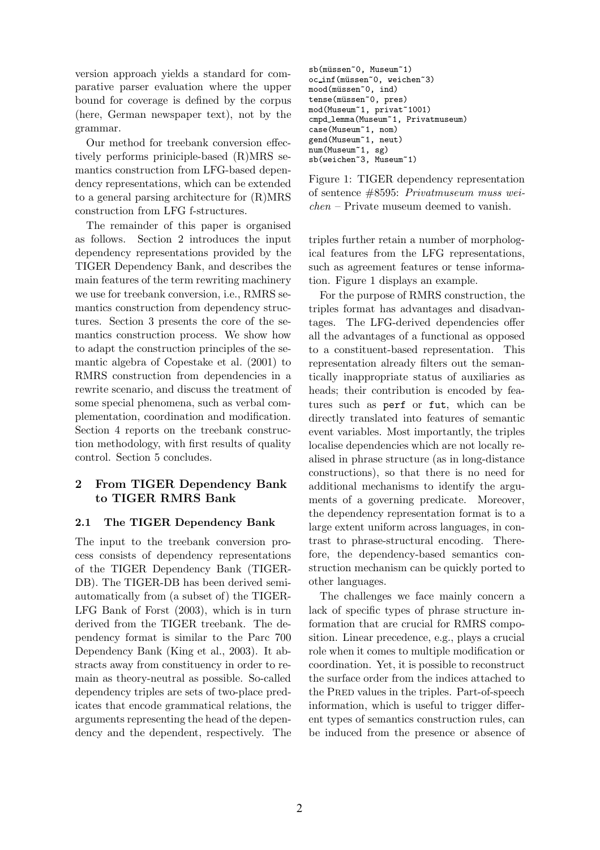version approach yields a standard for comparative parser evaluation where the upper bound for coverage is defined by the corpus (here, German newspaper text), not by the grammar.

Our method for treebank conversion effectively performs priniciple-based (R)MRS semantics construction from LFG-based dependency representations, which can be extended to a general parsing architecture for (R)MRS construction from LFG f-structures.

The remainder of this paper is organised as follows. Section 2 introduces the input dependency representations provided by the TIGER Dependency Bank, and describes the main features of the term rewriting machinery we use for treebank conversion, i.e., RMRS semantics construction from dependency structures. Section 3 presents the core of the semantics construction process. We show how to adapt the construction principles of the semantic algebra of Copestake et al. (2001) to RMRS construction from dependencies in a rewrite scenario, and discuss the treatment of some special phenomena, such as verbal complementation, coordination and modification. Section 4 reports on the treebank construction methodology, with first results of quality control. Section 5 concludes.

## 2 From TIGER Dependency Bank to TIGER RMRS Bank

## 2.1 The TIGER Dependency Bank

The input to the treebank conversion process consists of dependency representations of the TIGER Dependency Bank (TIGER-DB). The TIGER-DB has been derived semiautomatically from (a subset of) the TIGER-LFG Bank of Forst (2003), which is in turn derived from the TIGER treebank. The dependency format is similar to the Parc 700 Dependency Bank (King et al., 2003). It abstracts away from constituency in order to remain as theory-neutral as possible. So-called dependency triples are sets of two-place predicates that encode grammatical relations, the arguments representing the head of the dependency and the dependent, respectively. The

```
sb(müssen~0, Museum~1)
oc_inf(müssen~0, weichen~3)
mood(müssen~0, ind)
tense(müssen~0, pres)
mod(Museum~1, privat~1001)
cmpd lemma(Museum~1, Privatmuseum)
case(Museum~1, nom)
gend(Museum~1, neut)
num(Museum~1, sg)
sb(weichen~3, Museum~1)
```
Figure 1: TIGER dependency representation of sentence #8595: Privatmuseum muss weichen – Private museum deemed to vanish.

triples further retain a number of morphological features from the LFG representations, such as agreement features or tense information. Figure 1 displays an example.

For the purpose of RMRS construction, the triples format has advantages and disadvantages. The LFG-derived dependencies offer all the advantages of a functional as opposed to a constituent-based representation. This representation already filters out the semantically inappropriate status of auxiliaries as heads; their contribution is encoded by features such as perf or fut, which can be directly translated into features of semantic event variables. Most importantly, the triples localise dependencies which are not locally realised in phrase structure (as in long-distance constructions), so that there is no need for additional mechanisms to identify the arguments of a governing predicate. Moreover, the dependency representation format is to a large extent uniform across languages, in contrast to phrase-structural encoding. Therefore, the dependency-based semantics construction mechanism can be quickly ported to other languages.

The challenges we face mainly concern a lack of specific types of phrase structure information that are crucial for RMRS composition. Linear precedence, e.g., plays a crucial role when it comes to multiple modification or coordination. Yet, it is possible to reconstruct the surface order from the indices attached to the PRED values in the triples. Part-of-speech information, which is useful to trigger different types of semantics construction rules, can be induced from the presence or absence of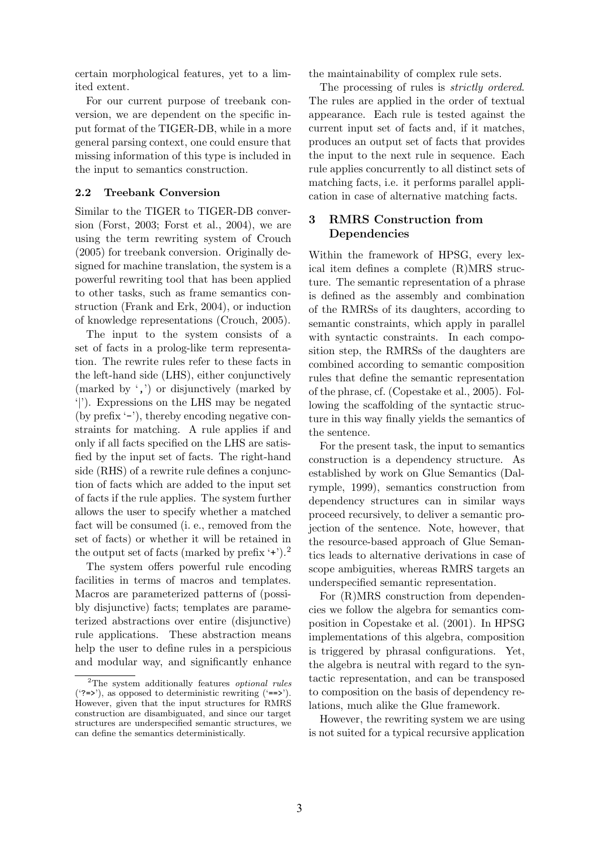certain morphological features, yet to a limited extent.

For our current purpose of treebank conversion, we are dependent on the specific input format of the TIGER-DB, while in a more general parsing context, one could ensure that missing information of this type is included in the input to semantics construction.

## 2.2 Treebank Conversion

Similar to the TIGER to TIGER-DB conversion (Forst, 2003; Forst et al., 2004), we are using the term rewriting system of Crouch (2005) for treebank conversion. Originally designed for machine translation, the system is a powerful rewriting tool that has been applied to other tasks, such as frame semantics construction (Frank and Erk, 2004), or induction of knowledge representations (Crouch, 2005).

The input to the system consists of a set of facts in a prolog-like term representation. The rewrite rules refer to these facts in the left-hand side (LHS), either conjunctively (marked by ',') or disjunctively (marked by '|'). Expressions on the LHS may be negated (by prefix '-'), thereby encoding negative constraints for matching. A rule applies if and only if all facts specified on the LHS are satisfied by the input set of facts. The right-hand side (RHS) of a rewrite rule defines a conjunction of facts which are added to the input set of facts if the rule applies. The system further allows the user to specify whether a matched fact will be consumed (i. e., removed from the set of facts) or whether it will be retained in the output set of facts (marked by prefix  $\lq\lq\lq\lq\lq\lq\lq\lq\lq$ ).<sup>2</sup>

The system offers powerful rule encoding facilities in terms of macros and templates. Macros are parameterized patterns of (possibly disjunctive) facts; templates are parameterized abstractions over entire (disjunctive) rule applications. These abstraction means help the user to define rules in a perspicious and modular way, and significantly enhance

the maintainability of complex rule sets.

The processing of rules is *strictly ordered*. The rules are applied in the order of textual appearance. Each rule is tested against the current input set of facts and, if it matches, produces an output set of facts that provides the input to the next rule in sequence. Each rule applies concurrently to all distinct sets of matching facts, i.e. it performs parallel application in case of alternative matching facts.

## 3 RMRS Construction from Dependencies

Within the framework of HPSG, every lexical item defines a complete (R)MRS structure. The semantic representation of a phrase is defined as the assembly and combination of the RMRSs of its daughters, according to semantic constraints, which apply in parallel with syntactic constraints. In each composition step, the RMRSs of the daughters are combined according to semantic composition rules that define the semantic representation of the phrase, cf. (Copestake et al., 2005). Following the scaffolding of the syntactic structure in this way finally yields the semantics of the sentence.

For the present task, the input to semantics construction is a dependency structure. As established by work on Glue Semantics (Dalrymple, 1999), semantics construction from dependency structures can in similar ways proceed recursively, to deliver a semantic projection of the sentence. Note, however, that the resource-based approach of Glue Semantics leads to alternative derivations in case of scope ambiguities, whereas RMRS targets an underspecified semantic representation.

For (R)MRS construction from dependencies we follow the algebra for semantics composition in Copestake et al. (2001). In HPSG implementations of this algebra, composition is triggered by phrasal configurations. Yet, the algebra is neutral with regard to the syntactic representation, and can be transposed to composition on the basis of dependency relations, much alike the Glue framework.

However, the rewriting system we are using is not suited for a typical recursive application

<sup>2</sup>The system additionally features optional rules  $('?=>');$  as opposed to deterministic rewriting  $('==>').$ However, given that the input structures for RMRS construction are disambiguated, and since our target structures are underspecified semantic structures, we can define the semantics deterministically.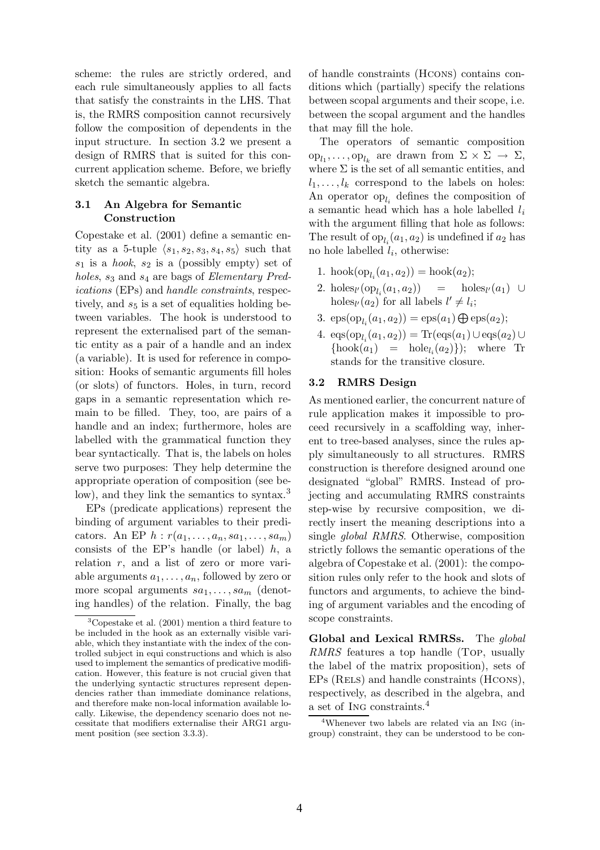scheme: the rules are strictly ordered, and each rule simultaneously applies to all facts that satisfy the constraints in the LHS. That is, the RMRS composition cannot recursively follow the composition of dependents in the input structure. In section 3.2 we present a design of RMRS that is suited for this concurrent application scheme. Before, we briefly sketch the semantic algebra.

## 3.1 An Algebra for Semantic Construction

Copestake et al. (2001) define a semantic entity as a 5-tuple  $\langle s_1, s_2, s_3, s_4, s_5 \rangle$  such that  $s_1$  is a hook,  $s_2$  is a (possibly empty) set of holes,  $s_3$  and  $s_4$  are bags of *Elementary Pred*ications (EPs) and handle constraints, respectively, and  $s<sub>5</sub>$  is a set of equalities holding between variables. The hook is understood to represent the externalised part of the semantic entity as a pair of a handle and an index (a variable). It is used for reference in composition: Hooks of semantic arguments fill holes (or slots) of functors. Holes, in turn, record gaps in a semantic representation which remain to be filled. They, too, are pairs of a handle and an index; furthermore, holes are labelled with the grammatical function they bear syntactically. That is, the labels on holes serve two purposes: They help determine the appropriate operation of composition (see below), and they link the semantics to syntax.<sup>3</sup>

EPs (predicate applications) represent the binding of argument variables to their predicators. An EP  $h : r(a_1, \ldots, a_n, sa_1, \ldots, sa_m)$ consists of the EP's handle (or label)  $h$ , a relation r, and a list of zero or more variable arguments  $a_1, \ldots, a_n$ , followed by zero or more scopal arguments  $sa_1, \ldots, sa_m$  (denoting handles) of the relation. Finally, the bag

of handle constraints (Hcons) contains conditions which (partially) specify the relations between scopal arguments and their scope, i.e. between the scopal argument and the handles that may fill the hole.

The operators of semantic composition  $\text{op}_{l_1}, \ldots, \text{op}_{l_k}$  are drawn from  $\Sigma \times \Sigma \to \Sigma$ , where  $\Sigma$  is the set of all semantic entities, and  $l_1, \ldots, l_k$  correspond to the labels on holes: An operator  $op_{l_i}$  defines the composition of a semantic head which has a hole labelled  $l_i$ with the argument filling that hole as follows: The result of  $op_{l_i}(a_1, a_2)$  is undefined if  $a_2$  has no hole labelled  $l_i$ , otherwise:

- 1. hook $(op_{l_i}(a_1, a_2)) = \text{hook}(a_2);$
- 2. holes<sub>l'</sub>(op<sub>l<sub>i</sub></sub> $(a_1, a_2)$ ) = holes<sub>l'</sub> $(a_1)$  ∪ holes<sub> $l' \neq l_i$ </sub>; for all labels  $l' \neq l_i$ ;
- 3.  $\text{eps}(\text{op}_{l_i}(a_1, a_2)) = \text{eps}(a_1) \bigoplus \text{eps}(a_2);$
- 4.  $\text{eqs}(\text{op}_{l_i}(a_1, a_2)) = \text{Tr}(\text{eqs}(a_1) \cup \text{eqs}(a_2) \cup$  $\{\text{hook}(a_1) = \text{hole}_{l_i}(a_2)\};$  where Tr stands for the transitive closure.

## 3.2 RMRS Design

As mentioned earlier, the concurrent nature of rule application makes it impossible to proceed recursively in a scaffolding way, inherent to tree-based analyses, since the rules apply simultaneously to all structures. RMRS construction is therefore designed around one designated "global" RMRS. Instead of projecting and accumulating RMRS constraints step-wise by recursive composition, we directly insert the meaning descriptions into a single global RMRS. Otherwise, composition strictly follows the semantic operations of the algebra of Copestake et al. (2001): the composition rules only refer to the hook and slots of functors and arguments, to achieve the binding of argument variables and the encoding of scope constraints.

Global and Lexical RMRSs. The global RMRS features a top handle (Top, usually the label of the matrix proposition), sets of EPs (RELS) and handle constraints (HCONS), respectively, as described in the algebra, and a set of Ing constraints.<sup>4</sup>

 ${}^{3}$ Copestake et al. (2001) mention a third feature to be included in the hook as an externally visible variable, which they instantiate with the index of the controlled subject in equi constructions and which is also used to implement the semantics of predicative modification. However, this feature is not crucial given that the underlying syntactic structures represent dependencies rather than immediate dominance relations, and therefore make non-local information available locally. Likewise, the dependency scenario does not necessitate that modifiers externalise their ARG1 argument position (see section 3.3.3).

<sup>4</sup>Whenever two labels are related via an Ing (ingroup) constraint, they can be understood to be con-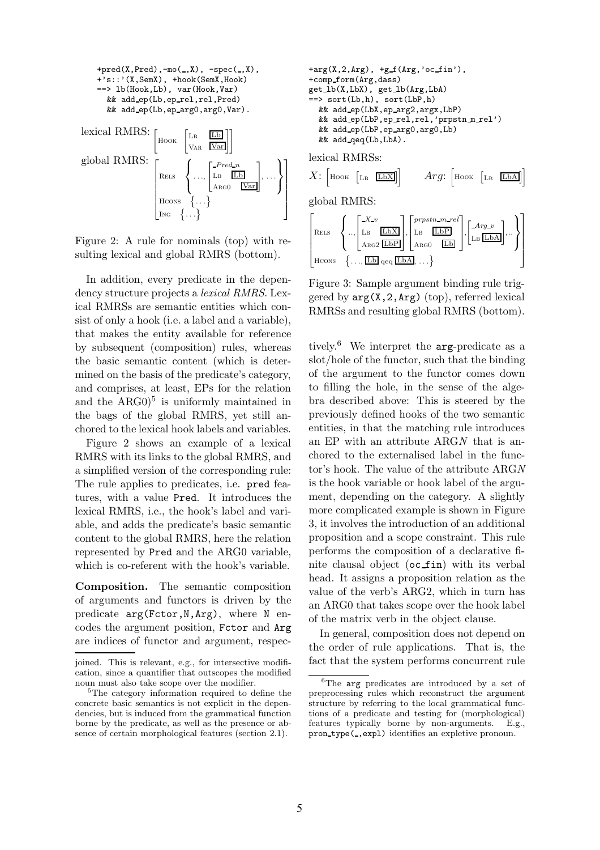

Figure 2: A rule for nominals (top) with resulting lexical and global RMRS (bottom).

In addition, every predicate in the dependency structure projects a lexical RMRS. Lexical RMRSs are semantic entities which consist of only a hook (i.e. a label and a variable), that makes the entity available for reference by subsequent (composition) rules, whereas the basic semantic content (which is determined on the basis of the predicate's category, and comprises, at least, EPs for the relation and the  $ARG0$ <sup>5</sup> is uniformly maintained in the bags of the global RMRS, yet still anchored to the lexical hook labels and variables.

Figure 2 shows an example of a lexical RMRS with its links to the global RMRS, and a simplified version of the corresponding rule: The rule applies to predicates, i.e. pred features, with a value Pred. It introduces the lexical RMRS, i.e., the hook's label and variable, and adds the predicate's basic semantic content to the global RMRS, here the relation represented by Pred and the ARG0 variable, which is co-referent with the hook's variable.

Composition. The semantic composition of arguments and functors is driven by the predicate arg(Fctor,N,Arg), where N encodes the argument position, Fctor and Arg are indices of functor and argument, respec-

```
+arg(X,2,Arg), +gf(Arg, 'ocfin'),+comp form(Arg,dass)
get lb(X,LbX), get lb(Arg,LbA)
==> sort(Lb,h), sort(LbP,h)
  && add ep(LbX,ep arg2,argx,LbP)
  && add ep(LbP,ep rel,rel,'prpstn m rel')
  && add ep(LbP,ep arg0,arg0,Lb)
  && add qeq(Lb,LbA).
lexical RMRSs:
X: Hook \lceil_{\text{LB}} \quad \boxed{\text{LbX}}\rceil Arg: Hook \lceil_{\text{LB}} \quad \boxed{\text{LbA}}\rceilglobal RMRS:
```


Figure 3: Sample argument binding rule triggered by  $arg(X,2,\text{Arg})$  (top), referred lexical RMRSs and resulting global RMRS (bottom).

tively.<sup>6</sup> We interpret the arg-predicate as a slot/hole of the functor, such that the binding of the argument to the functor comes down to filling the hole, in the sense of the algebra described above: This is steered by the previously defined hooks of the two semantic entities, in that the matching rule introduces an EP with an attribute ARGN that is anchored to the externalised label in the functor's hook. The value of the attribute ARGN is the hook variable or hook label of the argument, depending on the category. A slightly more complicated example is shown in Figure 3, it involves the introduction of an additional proposition and a scope constraint. This rule performs the composition of a declarative finite clausal object (oc fin) with its verbal head. It assigns a proposition relation as the value of the verb's ARG2, which in turn has an ARG0 that takes scope over the hook label of the matrix verb in the object clause.

In general, composition does not depend on the order of rule applications. That is, the fact that the system performs concurrent rule

joined. This is relevant, e.g., for intersective modification, since a quantifier that outscopes the modified noun must also take scope over the modifier.

<sup>5</sup>The category information required to define the concrete basic semantics is not explicit in the dependencies, but is induced from the grammatical function borne by the predicate, as well as the presence or absence of certain morphological features (section 2.1).

<sup>&</sup>lt;sup>6</sup>The arg predicates are introduced by a set of preprocessing rules which reconstruct the argument structure by referring to the local grammatical functions of a predicate and testing for (morphological) features typically borne by non-arguments. E.g., pron\_type(\_,expl) identifies an expletive pronoun.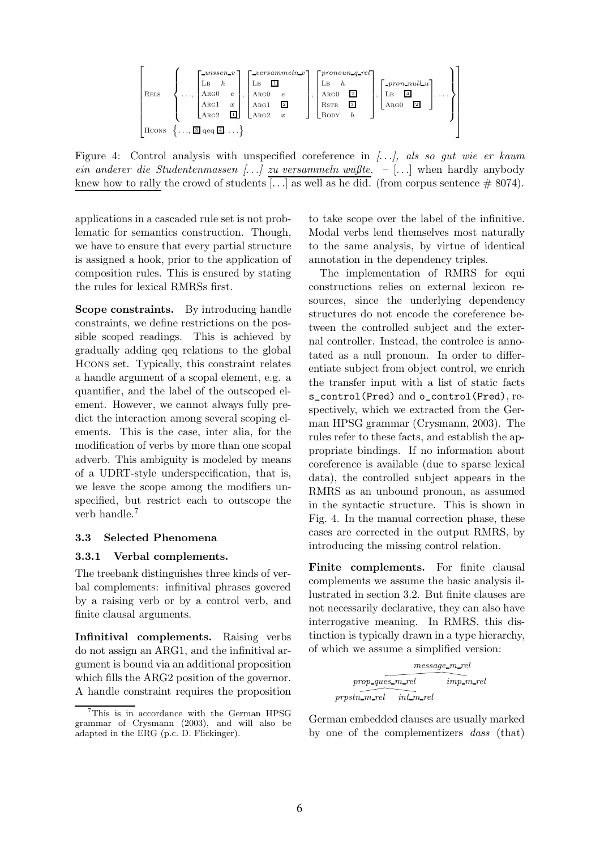

Figure 4: Control analysis with unspecified coreference in  $[\ldots]$ , als so gut wie er kaum ein anderer die Studentenmassen [...] zu versammeln wußte.  $-$  [...] when hardly anybody knew how to rally the crowd of students [...] as well as he did. (from corpus sentence  $\# 8074$ ).

applications in a cascaded rule set is not problematic for semantics construction. Though, we have to ensure that every partial structure is assigned a hook, prior to the application of composition rules. This is ensured by stating the rules for lexical RMRSs first.

Scope constraints. By introducing handle constraints, we define restrictions on the possible scoped readings. This is achieved by gradually adding qeq relations to the global Hcons set. Typically, this constraint relates a handle argument of a scopal element, e.g. a quantifier, and the label of the outscoped element. However, we cannot always fully predict the interaction among several scoping elements. This is the case, inter alia, for the modification of verbs by more than one scopal adverb. This ambiguity is modeled by means of a UDRT-style underspecification, that is, we leave the scope among the modifiers unspecified, but restrict each to outscope the verb handle.<sup>7</sup>

#### 3.3 Selected Phenomena

#### 3.3.1 Verbal complements.

The treebank distinguishes three kinds of verbal complements: infinitival phrases govered by a raising verb or by a control verb, and finite clausal arguments.

Infinitival complements. Raising verbs do not assign an ARG1, and the infinitival argument is bound via an additional proposition which fills the ARG2 position of the governor. A handle constraint requires the proposition to take scope over the label of the infinitive. Modal verbs lend themselves most naturally to the same analysis, by virtue of identical annotation in the dependency triples.

The implementation of RMRS for equi constructions relies on external lexicon resources, since the underlying dependency structures do not encode the coreference between the controlled subject and the external controller. Instead, the controlee is annotated as a null pronoun. In order to differentiate subject from object control, we enrich the transfer input with a list of static facts s\_control(Pred) and o\_control(Pred), respectively, which we extracted from the German HPSG grammar (Crysmann, 2003). The rules refer to these facts, and establish the appropriate bindings. If no information about coreference is available (due to sparse lexical data), the controlled subject appears in the RMRS as an unbound pronoun, as assumed in the syntactic structure. This is shown in Fig. 4. In the manual correction phase, these cases are corrected in the output RMRS, by introducing the missing control relation.

Finite complements. For finite clausal complements we assume the basic analysis illustrated in section 3.2. But finite clauses are not necessarily declarative, they can also have interrogative meaning. In RMRS, this distinction is typically drawn in a type hierarchy, of which we assume a simplified version:

$$
\begin{matrix} \\ \textit{message\_m-rel}\\ \textit{prop\_ques\_m-rel}\\ \textit{prpstn\_m-rel}\\ \textit{int\_m\_rel}\end{matrix} \begin{matrix} \\ \textit{imp\_m\_rel}\\ \textit{im\_m\_rel}\end{matrix}
$$

German embedded clauses are usually marked by one of the complementizers dass (that)

<sup>7</sup>This is in accordance with the German HPSG grammar of Crysmann (2003), and will also be adapted in the ERG (p.c. D. Flickinger).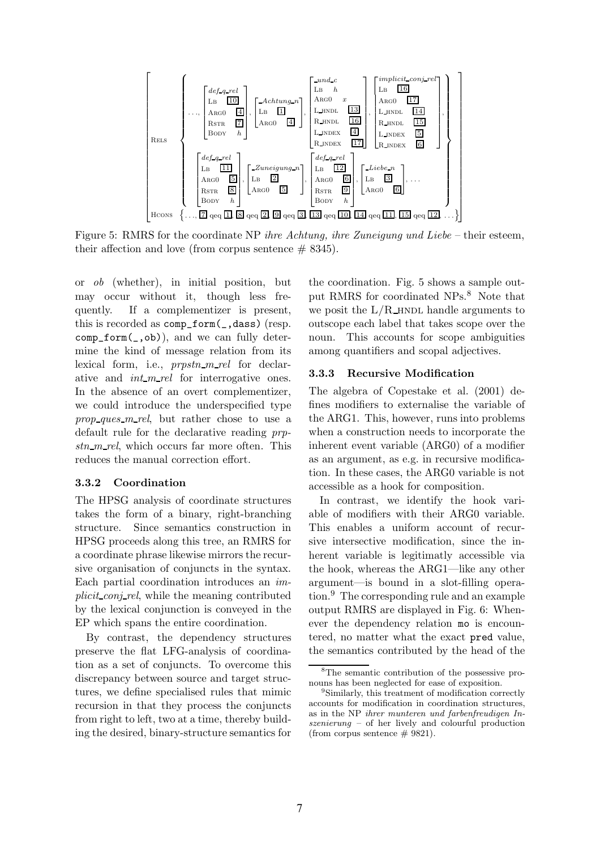

Figure 5: RMRS for the coordinate NP *ihre Achtung, ihre Zuneigung und Liebe* – their esteem, their affection and love (from corpus sentence  $# 8345$ ).

or ob (whether), in initial position, but may occur without it, though less frequently. If a complementizer is present, this is recorded as comp\_form(\_,dass) (resp. comp\_form(\_,ob)), and we can fully determine the kind of message relation from its lexical form, i.e., *prpstn\_m\_rel* for declarative and  $int\_m\_rel$  for interrogative ones. In the absence of an overt complementizer, we could introduce the underspecified type prop ques  $m$  rel, but rather chose to use a default rule for the declarative reading prp $stn$ -m-rel, which occurs far more often. This reduces the manual correction effort.

### 3.3.2 Coordination

The HPSG analysis of coordinate structures takes the form of a binary, right-branching structure. Since semantics construction in HPSG proceeds along this tree, an RMRS for a coordinate phrase likewise mirrors the recursive organisation of conjuncts in the syntax. Each partial coordination introduces an implicit conj rel, while the meaning contributed by the lexical conjunction is conveyed in the EP which spans the entire coordination.

By contrast, the dependency structures preserve the flat LFG-analysis of coordination as a set of conjuncts. To overcome this discrepancy between source and target structures, we define specialised rules that mimic recursion in that they process the conjuncts from right to left, two at a time, thereby building the desired, binary-structure semantics for

the coordination. Fig. 5 shows a sample output RMRS for coordinated NPs.<sup>8</sup> Note that we posit the  $L/R$  hndle arguments to outscope each label that takes scope over the noun. This accounts for scope ambiguities among quantifiers and scopal adjectives.

#### 3.3.3 Recursive Modification

The algebra of Copestake et al. (2001) defines modifiers to externalise the variable of the ARG1. This, however, runs into problems when a construction needs to incorporate the inherent event variable (ARG0) of a modifier as an argument, as e.g. in recursive modification. In these cases, the ARG0 variable is not accessible as a hook for composition.

In contrast, we identify the hook variable of modifiers with their ARG0 variable. This enables a uniform account of recursive intersective modification, since the inherent variable is legitimatly accessible via the hook, whereas the ARG1—like any other argument—is bound in a slot-filling operation.<sup>9</sup> The corresponding rule and an example output RMRS are displayed in Fig. 6: Whenever the dependency relation mo is encountered, no matter what the exact pred value, the semantics contributed by the head of the

<sup>8</sup>The semantic contribution of the possessive pronouns has been neglected for ease of exposition.

<sup>&</sup>lt;sup>9</sup>Similarly, this treatment of modification correctly accounts for modification in coordination structures, as in the NP ihrer munteren und farbenfreudigen Inszenierung – of her lively and colourful production (from corpus sentence  $# 9821$ ).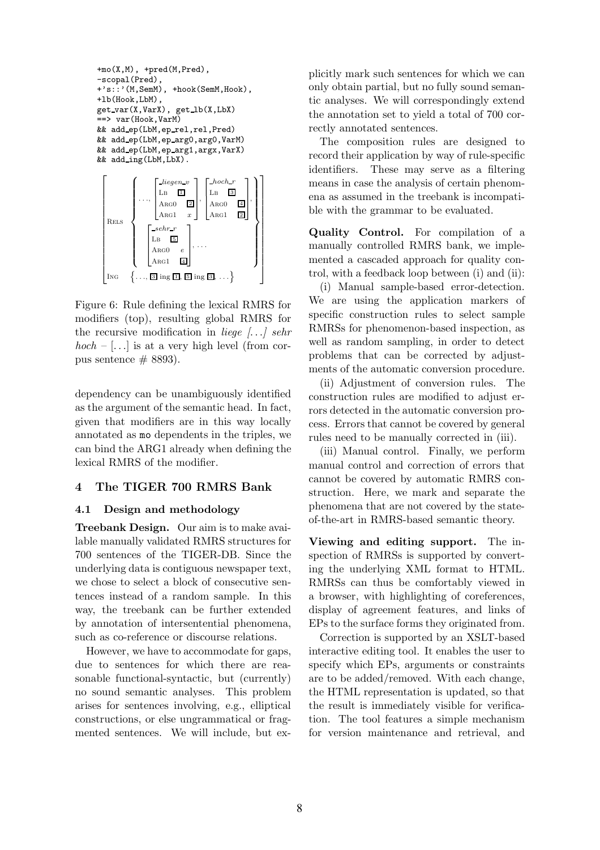```
+mo(X,M), +pred(M,Pred),
-scopal(Pred),
+'s::'(M,SemM), +hook(SemM,Hook),
+lb(Hook,LbM),
get var(X,VarX), get lb(X,LbX)
==> var(Hook,VarM)
&& add ep(LbM,ep rel,rel,Pred)
&& add ep(LbM,ep arg0,arg0,VarM)
&& add ep(LbM,ep arg1,argx,VarX)
&& add ing(LbM,LbX).
 \sqrt{ }\overline{1}\overline{\phantom{a}}\overline{1}

Rels
            \sqrt{ }\begin{matrix} \phantom{-} \end{matrix}. . .,
                    \sqrt{ }\Big\}liegen v
                       LB \frac{1}{2}\text{Arg}0 2
                       ARG1 x1
                                    \Vert \cdot\sqrt{ }\Big\}-hoch r\mathbf{L}\mathbf{B} 3
                                         \text{Arg}0 4
                                         Area1 2
                                                      1
                                                      \left\vert \right\vert\mathcal{L}\overline{\mathcal{L}}
```
1  $\overline{1}$  $\mathbf{I}$  $\overline{1}$  $\mathbf{I}$ 



Figure 6: Rule defining the lexical RMRS for modifiers (top), resulting global RMRS for the recursive modification in *liege*  $\left[ \ldots \right]$  sehr  $hoch - [\dots]$  is at a very high level (from corpus sentence  $\#$  8893).

dependency can be unambiguously identified as the argument of the semantic head. In fact, given that modifiers are in this way locally annotated as mo dependents in the triples, we can bind the ARG1 already when defining the lexical RMRS of the modifier.

### 4 The TIGER 700 RMRS Bank

### 4.1 Design and methodology

Treebank Design. Our aim is to make available manually validated RMRS structures for 700 sentences of the TIGER-DB. Since the underlying data is contiguous newspaper text, we chose to select a block of consecutive sentences instead of a random sample. In this way, the treebank can be further extended by annotation of intersentential phenomena, such as co-reference or discourse relations.

However, we have to accommodate for gaps, due to sentences for which there are reasonable functional-syntactic, but (currently) no sound semantic analyses. This problem arises for sentences involving, e.g., elliptical constructions, or else ungrammatical or fragmented sentences. We will include, but explicitly mark such sentences for which we can only obtain partial, but no fully sound semantic analyses. We will correspondingly extend the annotation set to yield a total of 700 correctly annotated sentences.

The composition rules are designed to record their application by way of rule-specific identifiers. These may serve as a filtering means in case the analysis of certain phenomena as assumed in the treebank is incompatible with the grammar to be evaluated.

Quality Control. For compilation of a manually controlled RMRS bank, we implemented a cascaded approach for quality control, with a feedback loop between (i) and (ii):

(i) Manual sample-based error-detection. We are using the application markers of specific construction rules to select sample RMRSs for phenomenon-based inspection, as well as random sampling, in order to detect problems that can be corrected by adjustments of the automatic conversion procedure.

(ii) Adjustment of conversion rules. The construction rules are modified to adjust errors detected in the automatic conversion process. Errors that cannot be covered by general rules need to be manually corrected in (iii).

(iii) Manual control. Finally, we perform manual control and correction of errors that cannot be covered by automatic RMRS construction. Here, we mark and separate the phenomena that are not covered by the stateof-the-art in RMRS-based semantic theory.

Viewing and editing support. The inspection of RMRSs is supported by converting the underlying XML format to HTML. RMRSs can thus be comfortably viewed in a browser, with highlighting of coreferences, display of agreement features, and links of EPs to the surface forms they originated from.

Correction is supported by an XSLT-based interactive editing tool. It enables the user to specify which EPs, arguments or constraints are to be added/removed. With each change, the HTML representation is updated, so that the result is immediately visible for verification. The tool features a simple mechanism for version maintenance and retrieval, and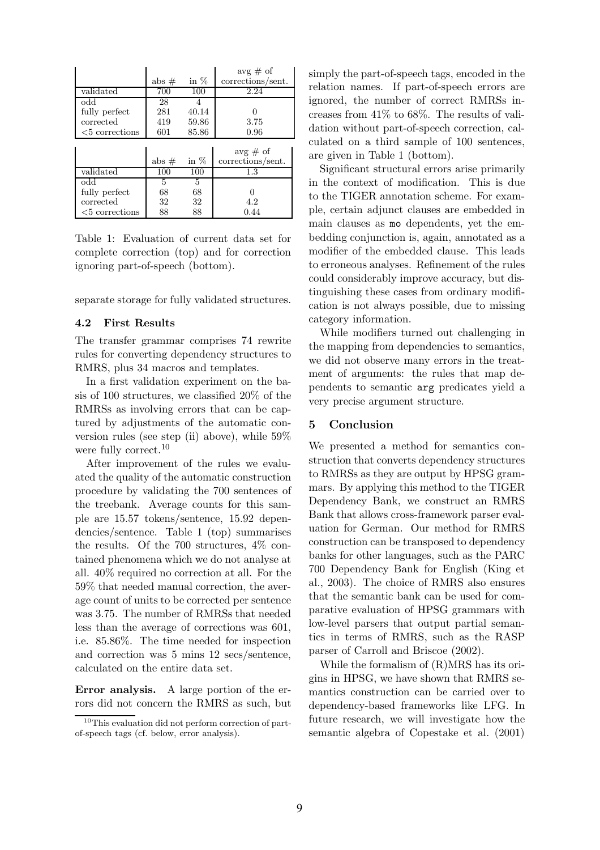|                   |         |        | avg $\#$ of       |
|-------------------|---------|--------|-------------------|
|                   | abs $#$ | in $%$ | corrections/sent. |
| validated         | 700     | 100    | 2.24              |
| bbo               | 28      |        |                   |
| fully perfect     | 281     | 40.14  |                   |
| corrected         | 419     | 59.86  | 3.75              |
| $<$ 5 corrections | 601     | 85.86  | 0.96              |
|                   |         |        |                   |
|                   |         |        | $avg \# of$       |
|                   | abs $#$ | in $%$ | corrections/sent. |
|                   |         |        |                   |
| validated         | 100     | 100    | 1.3               |
| $\rm odd$         | 5       | 5      |                   |
| fully perfect     | 68      | 68     |                   |
| corrected         | 32      | 32     | 4.2               |

Table 1: Evaluation of current data set for complete correction (top) and for correction ignoring part-of-speech (bottom).

separate storage for fully validated structures.

#### 4.2 First Results

The transfer grammar comprises 74 rewrite rules for converting dependency structures to RMRS, plus 34 macros and templates.

In a first validation experiment on the basis of 100 structures, we classified 20% of the RMRSs as involving errors that can be captured by adjustments of the automatic conversion rules (see step (ii) above), while 59% were fully correct.<sup>10</sup>

After improvement of the rules we evaluated the quality of the automatic construction procedure by validating the 700 sentences of the treebank. Average counts for this sample are 15.57 tokens/sentence, 15.92 dependencies/sentence. Table 1 (top) summarises the results. Of the 700 structures, 4% contained phenomena which we do not analyse at all. 40% required no correction at all. For the 59% that needed manual correction, the average count of units to be corrected per sentence was 3.75. The number of RMRSs that needed less than the average of corrections was 601, i.e. 85.86%. The time needed for inspection and correction was 5 mins 12 secs/sentence, calculated on the entire data set.

Error analysis. A large portion of the errors did not concern the RMRS as such, but simply the part-of-speech tags, encoded in the relation names. If part-of-speech errors are ignored, the number of correct RMRSs increases from 41% to 68%. The results of validation without part-of-speech correction, calculated on a third sample of 100 sentences, are given in Table 1 (bottom).

Significant structural errors arise primarily in the context of modification. This is due to the TIGER annotation scheme. For example, certain adjunct clauses are embedded in main clauses as mo dependents, yet the embedding conjunction is, again, annotated as a modifier of the embedded clause. This leads to erroneous analyses. Refinement of the rules could considerably improve accuracy, but distinguishing these cases from ordinary modification is not always possible, due to missing category information.

While modifiers turned out challenging in the mapping from dependencies to semantics, we did not observe many errors in the treatment of arguments: the rules that map dependents to semantic arg predicates yield a very precise argument structure.

#### 5 Conclusion

We presented a method for semantics construction that converts dependency structures to RMRSs as they are output by HPSG grammars. By applying this method to the TIGER Dependency Bank, we construct an RMRS Bank that allows cross-framework parser evaluation for German. Our method for RMRS construction can be transposed to dependency banks for other languages, such as the PARC 700 Dependency Bank for English (King et al., 2003). The choice of RMRS also ensures that the semantic bank can be used for comparative evaluation of HPSG grammars with low-level parsers that output partial semantics in terms of RMRS, such as the RASP parser of Carroll and Briscoe (2002).

While the formalism of (R)MRS has its origins in HPSG, we have shown that RMRS semantics construction can be carried over to dependency-based frameworks like LFG. In future research, we will investigate how the semantic algebra of Copestake et al. (2001)

<sup>10</sup>This evaluation did not perform correction of partof-speech tags (cf. below, error analysis).